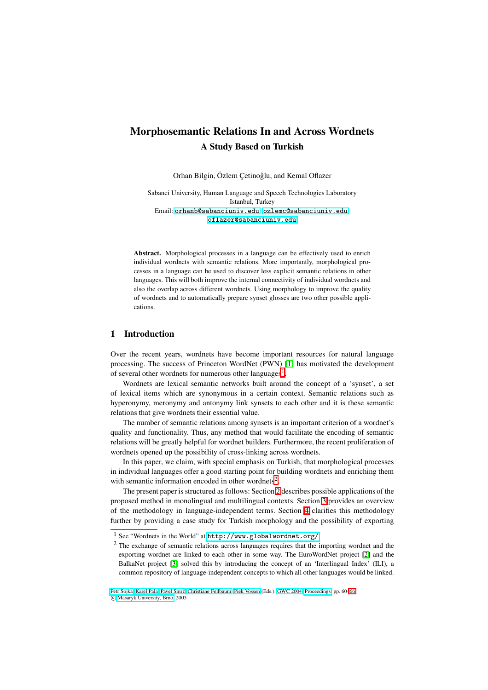# **Morphosemantic Relations In and Across Wordnets A Study Based on Turkish**

Orhan Bilgin, Özlem Cetinoğlu, and Kemal Oflazer

Sabanci University, Human Language and Speech Technologies Laboratory Istanbul, Turkey Email: [orhanb@sabanciuniv.edu](mailto:orhanb@sabanciuniv.edu), [ozlemc@sabanciuniv.edu](mailto:ozlemc@sabanciuniv.edu), [oflazer@sabanciuniv.edu](mailto:oflazer@sabanciuniv.edu)

**Abstract.** Morphological processes in a language can be effectively used to enrich individual wordnets with semantic relations. More importantly, morphological processes in a language can be used to discover less explicit semantic relations in other languages. This will both improve the internal connectivity of individual wordnets and also the overlap across different wordnets. Using morphology to improve the quality of wordnets and to automatically prepare synset glosses are two other possible applications.

## **1 Introduction**

Over the recent years, wordnets have become important resources for natural language processing. The success of Princeton WordNet (PWN) [\[1\]](#page-6-0) has motivated the development of several other wordnets for numerous other languages<sup>[1](#page-0-0)</sup>.

Wordnets are lexical semantic networks built around the concept of a 'synset', a set of lexical items which are synonymous in a certain context. Semantic relations such as hyperonymy, meronymy and antonymy link synsets to each other and it is these semantic relations that give wordnets their essential value.

The number of semantic relations among synsets is an important criterion of a wordnet's quality and functionality. Thus, any method that would facilitate the encoding of semantic relations will be greatly helpful for wordnet builders. Furthermore, the recent proliferation of wordnets opened up the possibility of cross-linking across wordnets.

In this paper, we claim, with special emphasis on Turkish, that morphological processes in individual languages offer a good starting point for building wordnets and enriching them with semantic information encoded in other wordnets<sup>[2](#page-0-1)</sup>.

The present paper is structured as follows: Section [2](#page-1-0) describes possible applications of the proposed method in monolingual and multilingual contexts. Section [3](#page-2-0) provides an overview of the methodology in language-independent terms. Section [4](#page-3-0) clarifies this methodology further by providing a case study for Turkish morphology and the possibility of exporting

<sup>1</sup> See "Wordnets in the World" at <http://www.globalwordnet.org/>

<span id="page-0-1"></span><span id="page-0-0"></span><sup>&</sup>lt;sup>2</sup> The exchange of semantic relations across languages requires that the importing wordnet and the exporting wordnet are linked to each other in some way. The EuroWordNet project [\[2\]](#page-6-1) and the BalkaNet project [\[3\]](#page-6-2) solved this by introducing the concept of an 'Interlingual Index' (ILI), a common repository of language-independent concepts to which all other languages would be linked.

Petr [Sojka,](http://www.fi.muni.cz/usr/sojka/) [Karel](http://www.fi.muni.cz/usr/pala/) Pala, Pavel [Smrž,](http://www.fi.muni.cz/~smrz/) [Christiane](http://www.cogsci.princeton.edu/~fellbaum/) Fellbaum, Piek [Vossen](mailto://Vossen@irion.nl) (Eds.): [GWC](http://www.fi.muni.cz/gwc2004/) 2004, [Proceedings,](http://www.fi.muni.cz/gwc2004/proc/) pp. 60[–66.](#page-6-3)

c Masaryk [University,](http://www.muni.cz/) Brno, 2003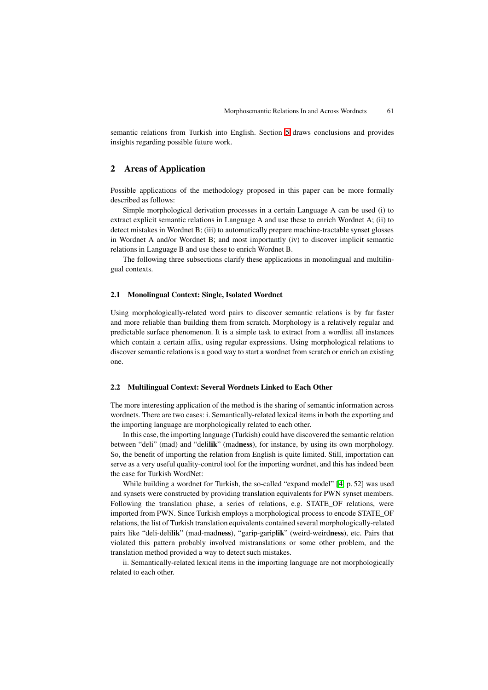semantic relations from Turkish into English. Section [5](#page-5-0) draws conclusions and provides insights regarding possible future work.

## <span id="page-1-0"></span>**2 Areas of Application**

Possible applications of the methodology proposed in this paper can be more formally described as follows:

Simple morphological derivation processes in a certain Language A can be used (i) to extract explicit semantic relations in Language A and use these to enrich Wordnet A; (ii) to detect mistakes in Wordnet B; (iii) to automatically prepare machine-tractable synset glosses in Wordnet A and/or Wordnet B; and most importantly (iv) to discover implicit semantic relations in Language B and use these to enrich Wordnet B.

The following three subsections clarify these applications in monolingual and multilingual contexts.

#### **2.1 Monolingual Context: Single, Isolated Wordnet**

Using morphologically-related word pairs to discover semantic relations is by far faster and more reliable than building them from scratch. Morphology is a relatively regular and predictable surface phenomenon. It is a simple task to extract from a wordlist all instances which contain a certain affix, using regular expressions. Using morphological relations to discover semantic relations is a good way to start a wordnet from scratch or enrich an existing one.

#### **2.2 Multilingual Context: Several Wordnets Linked to Each Other**

The more interesting application of the method is the sharing of semantic information across wordnets. There are two cases: i. Semantically-related lexical items in both the exporting and the importing language are morphologically related to each other.

In this case, the importing language (Turkish) could have discovered the semantic relation between "deli" (mad) and "deli**lik**" (mad**ness**), for instance, by using its own morphology. So, the benefit of importing the relation from English is quite limited. Still, importation can serve as a very useful quality-control tool for the importing wordnet, and this has indeed been the case for Turkish WordNet:

While building a wordnet for Turkish, the so-called "expand model" [\[4,](#page-6-4) p. 52] was used and synsets were constructed by providing translation equivalents for PWN synset members. Following the translation phase, a series of relations, e.g. STATE OF relations, were imported from PWN. Since Turkish employs a morphological process to encode STATE\_OF relations, the list of Turkish translation equivalents contained several morphologically-related pairs like "deli-deli**lik**" (mad-mad**ness**), "garip-garip**lik**" (weird-weird**ness**), etc. Pairs that violated this pattern probably involved mistranslations or some other problem, and the translation method provided a way to detect such mistakes.

ii. Semantically-related lexical items in the importing language are not morphologically related to each other.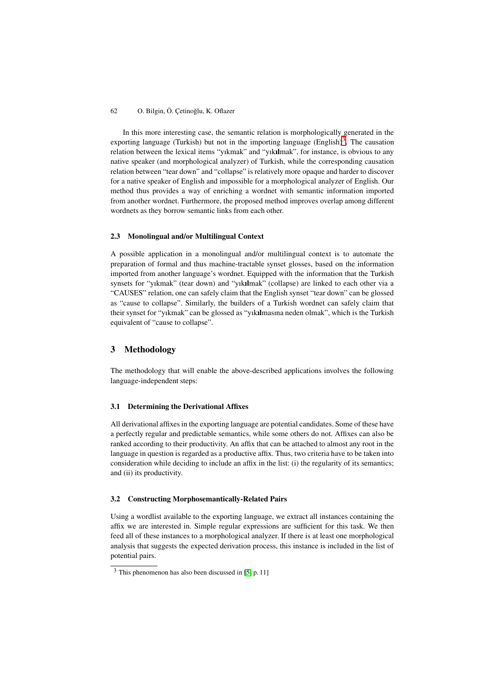#### 62 O. Bilgin, Ö. Çetinoğlu, K. Oflazer

In this more interesting case, the semantic relation is morphologically generated in the exporting language (Turkish) but not in the importing language  $(English)^3$  $(English)^3$ . The causation relation between the lexical items "yıkmak" and "yık**ıl**mak", for instance, is obvious to any native speaker (and morphological analyzer) of Turkish, while the corresponding causation relation between "tear down" and "collapse" is relatively more opaque and harder to discover for a native speaker of English and impossible for a morphological analyzer of English. Our method thus provides a way of enriching a wordnet with semantic information imported from another wordnet. Furthermore, the proposed method improves overlap among different wordnets as they borrow semantic links from each other.

#### **2.3 Monolingual and/or Multilingual Context**

A possible application in a monolingual and/or multilingual context is to automate the preparation of formal and thus machine-tractable synset glosses, based on the information imported from another language's wordnet. Equipped with the information that the Turkish synsets for "yıkmak" (tear down) and "yık**ıl**mak" (collapse) are linked to each other via a "CAUSES" relation, one can safely claim that the English synset "tear down" can be glossed as "cause to collapse". Similarly, the builders of a Turkish wordnet can safely claim that their synset for "yıkmak" can be glossed as "yık**ıl**masına neden olmak", which is the Turkish equivalent of "cause to collapse".

## <span id="page-2-0"></span>**3 Methodology**

The methodology that will enable the above-described applications involves the following language-independent steps:

#### **3.1 Determining the Derivational Affixes**

All derivational affixes in the exporting language are potential candidates. Some of these have a perfectly regular and predictable semantics, while some others do not. Affixes can also be ranked according to their productivity. An affix that can be attached to almost any root in the language in question is regarded as a productive affix. Thus, two criteria have to be taken into consideration while deciding to include an affix in the list: (i) the regularity of its semantics; and (ii) its productivity.

#### **3.2 Constructing Morphosemantically-Related Pairs**

Using a wordlist available to the exporting language, we extract all instances containing the affix we are interested in. Simple regular expressions are sufficient for this task. We then feed all of these instances to a morphological analyzer. If there is at least one morphological analysis that suggests the expected derivation process, this instance is included in the list of potential pairs.

<span id="page-2-1"></span><sup>3</sup> This phenomenon has also been discussed in [\[5,](#page-6-5) p. 11]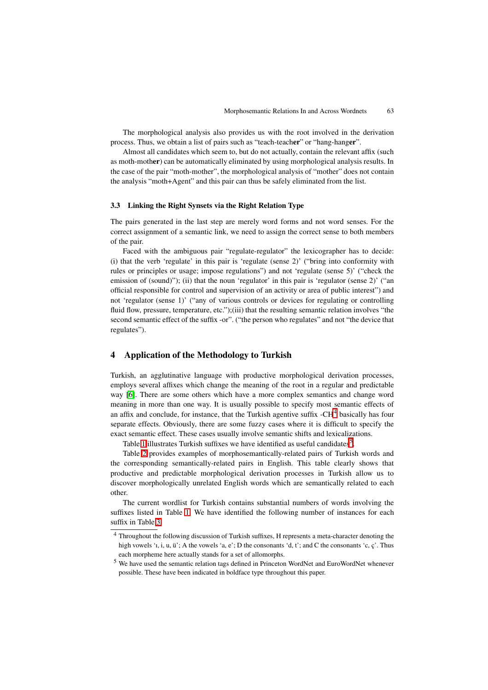The morphological analysis also provides us with the root involved in the derivation process. Thus, we obtain a list of pairs such as "teach-teach**er**" or "hang-hang**er**".

Almost all candidates which seem to, but do not actually, contain the relevant affix (such as moth-moth**er**) can be automatically eliminated by using morphological analysis results. In the case of the pair "moth-mother", the morphological analysis of "mother" does not contain the analysis "moth+Agent" and this pair can thus be safely eliminated from the list.

#### **3.3 Linking the Right Synsets via the Right Relation Type**

The pairs generated in the last step are merely word forms and not word senses. For the correct assignment of a semantic link, we need to assign the correct sense to both members of the pair.

Faced with the ambiguous pair "regulate-regulator" the lexicographer has to decide: (i) that the verb 'regulate' in this pair is 'regulate (sense 2)' ("bring into conformity with rules or principles or usage; impose regulations") and not 'regulate (sense 5)' ("check the emission of (sound)"); (ii) that the noun 'regulator' in this pair is 'regulator (sense 2)' ("an official responsible for control and supervision of an activity or area of public interest") and not 'regulator (sense 1)' ("any of various controls or devices for regulating or controlling fluid flow, pressure, temperature, etc.");(iii) that the resulting semantic relation involves "the second semantic effect of the suffix -or". ("the person who regulates" and not "the device that regulates").

## <span id="page-3-0"></span>**4 Application of the Methodology to Turkish**

Turkish, an agglutinative language with productive morphological derivation processes, employs several affixes which change the meaning of the root in a regular and predictable way [\[6\]](#page-6-6). There are some others which have a more complex semantics and change word meaning in more than one way. It is usually possible to specify most semantic effects of an affix and conclude, for instance, that the Turkish agentive suffix  $-CH<sup>4</sup>$  $-CH<sup>4</sup>$  $-CH<sup>4</sup>$  basically has four separate effects. Obviously, there are some fuzzy cases where it is difficult to specify the exact semantic effect. These cases usually involve semantic shifts and lexicalizations.

Table [1](#page-4-0) illustrates Turkish suffixes we have identified as useful candidates<sup>[5](#page-3-2)</sup>.

Table [2](#page-4-1) provides examples of morphosemantically-related pairs of Turkish words and the corresponding semantically-related pairs in English. This table clearly shows that productive and predictable morphological derivation processes in Turkish allow us to discover morphologically unrelated English words which are semantically related to each other.

The current wordlist for Turkish contains substantial numbers of words involving the suffixes listed in Table [1.](#page-4-0) We have identified the following number of instances for each suffix in Table [3](#page-5-1)

<span id="page-3-1"></span><sup>4</sup> Throughout the following discussion of Turkish suffixes, H represents a meta-character denoting the high vowels '1, i, u, ü'; A the vowels 'a, e'; D the consonants 'd, t'; and C the consonants 'c, c'. Thus each morpheme here actually stands for a set of allomorphs.

<span id="page-3-2"></span><sup>5</sup> We have used the semantic relation tags defined in Princeton WordNet and EuroWordNet whenever possible. These have been indicated in boldface type throughout this paper.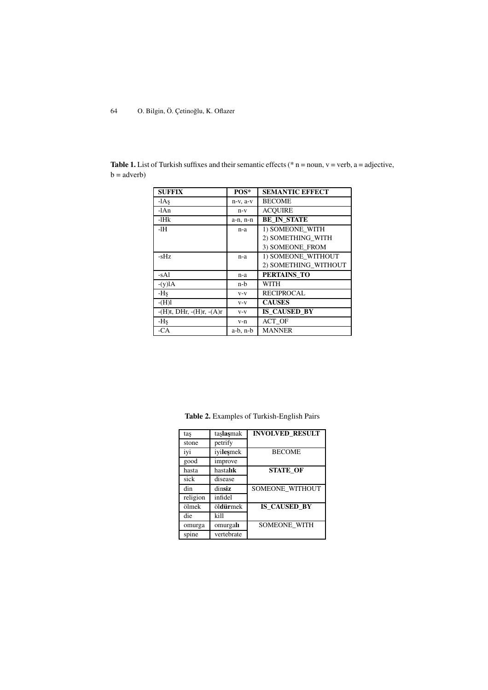| <b>SUFFIX</b>                    | POS*          | <b>SEMANTIC EFFECT</b> |  |
|----------------------------------|---------------|------------------------|--|
| $-1As$                           | $n-v$ , $a-v$ | <b>BECOME</b>          |  |
| -lAn                             | $n-v$         | <b>ACOUIRE</b>         |  |
| $-IHk$                           | a-n, n-n      | <b>BE IN STATE</b>     |  |
| -1H                              | n-a           | 1) SOMEONE WITH        |  |
|                                  |               | 2) SOMETHING WITH      |  |
|                                  |               | 3) SOMEONE FROM        |  |
| -sHz                             | n-a           | 1) SOMEONE WITHOUT     |  |
|                                  |               | 2) SOMETHING WITHOUT   |  |
| -sAl                             | n-a           | PERTAINS TO            |  |
| $-(y)$ l $A$                     | n-b           | WITH                   |  |
| -Hş                              | $V - V$       | <b>RECIPROCAL</b>      |  |
| $-(H)l$                          | $V - V$       | <b>CAUSES</b>          |  |
| $-(H)t$ , DHr, $-(H)r$ , $-(A)r$ | $V-V$         | IS CAUSED BY           |  |
| -Hş                              | v-n           | ACT OF                 |  |
| $-CA$                            | $a-b$ , $n-b$ | <b>MANNER</b>          |  |

<span id="page-4-0"></span>**Table 1.** List of Turkish suffixes and their semantic effects ( $*$  n = noun, v = verb, a = adjective,  $b = adverb)$ 

<span id="page-4-1"></span>

| taş      | taşlaşmak  | <b>INVOLVED_RESULT</b> |  |
|----------|------------|------------------------|--|
| stone    | petrify    |                        |  |
| iyi      | iyileşmek  | <b>BECOME</b>          |  |
| good     | improve    |                        |  |
| hasta    | hastalık   | <b>STATE OF</b>        |  |
| sick     | disease    |                        |  |
| din      | dinsiz     | SOMEONE WITHOUT        |  |
| religion | infidel    |                        |  |
| ölmek    | öldürmek   | <b>IS CAUSED BY</b>    |  |
| die      | kill       |                        |  |
| omurga   | omurgal    | <b>SOMEONE WITH</b>    |  |
| spine    | vertebrate |                        |  |

**Table 2.** Examples of Turkish-English Pairs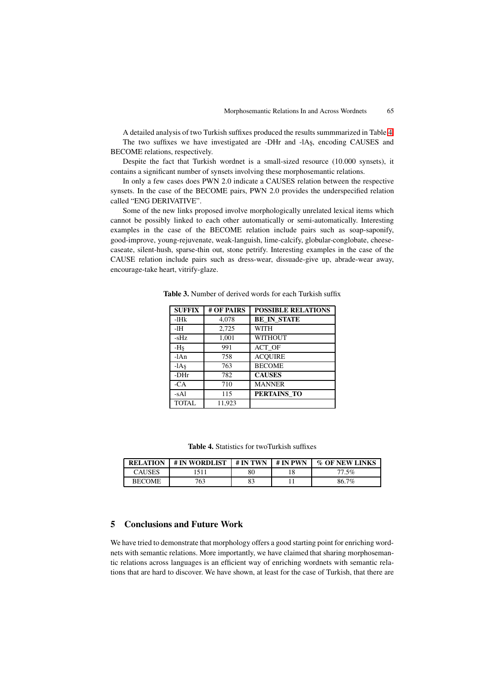A detailed analysis of two Turkish suffixes produced the results summmarized in Table [4.](#page-5-2) The two suffixes we have investigated are -DHr and -lAs, encoding CAUSES and BECOME relations, respectively.

Despite the fact that Turkish wordnet is a small-sized resource (10.000 synsets), it contains a significant number of synsets involving these morphosemantic relations.

In only a few cases does PWN 2.0 indicate a CAUSES relation between the respective synsets. In the case of the BECOME pairs, PWN 2.0 provides the underspecified relation called "ENG DERIVATIVE".

Some of the new links proposed involve morphologically unrelated lexical items which cannot be possibly linked to each other automatically or semi-automatically. Interesting examples in the case of the BECOME relation include pairs such as soap-saponify, good-improve, young-rejuvenate, weak-languish, lime-calcify, globular-conglobate, cheesecaseate, silent-hush, sparse-thin out, stone petrify. Interesting examples in the case of the CAUSE relation include pairs such as dress-wear, dissuade-give up, abrade-wear away, encourage-take heart, vitrify-glaze.

| <b>SUFFIX</b> | # OF PAIRS | <b>POSSIBLE RELATIONS</b> |  |  |
|---------------|------------|---------------------------|--|--|
| $-IHk$        | 4,078      | <b>BE IN STATE</b>        |  |  |
| -1H           | 2,725      | WITH                      |  |  |
| -sHz          | 1,001      | <b>WITHOUT</b>            |  |  |
| -Hş           | 991        | ACT OF                    |  |  |
| $-1An$        | 758        | <b>ACOUIRE</b>            |  |  |
| $-1As$        | 763        | <b>BECOME</b>             |  |  |
| -DHr          | 782        | <b>CAUSES</b>             |  |  |
| $-CA$         | 710        | <b>MANNER</b>             |  |  |
| $-sAI$        | 115        | PERTAINS TO               |  |  |
| <b>TOTAL</b>  | 11,923     |                           |  |  |

<span id="page-5-1"></span>**Table 3.** Number of derived words for each Turkish suffix

<span id="page-5-2"></span>**Table 4.** Statistics for twoTurkish suffixes

| <b>RELATION</b> | # IN WORDLIST | # IN TWN | # IN PWN | % OF NEW LINKS |
|-----------------|---------------|----------|----------|----------------|
| <b>CAUSES</b>   | 1511          | 80       |          | 77.5%          |
| <b>BECOME</b>   | 763           |          |          | 86.7%          |

#### <span id="page-5-0"></span>**5 Conclusions and Future Work**

We have tried to demonstrate that morphology offers a good starting point for enriching wordnets with semantic relations. More importantly, we have claimed that sharing morphosemantic relations across languages is an efficient way of enriching wordnets with semantic relations that are hard to discover. We have shown, at least for the case of Turkish, that there are